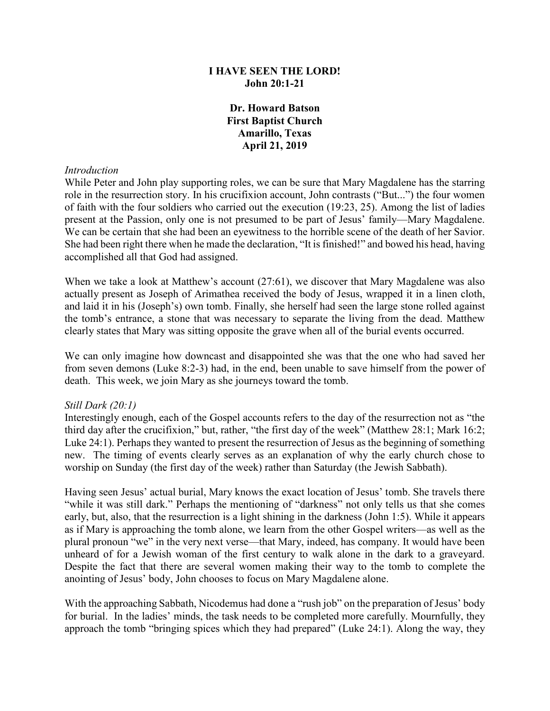### **I HAVE SEEN THE LORD! John 20:1-21**

**Dr. Howard Batson First Baptist Church Amarillo, Texas April 21, 2019**

#### *Introduction*

While Peter and John play supporting roles, we can be sure that Mary Magdalene has the starring role in the resurrection story. In his crucifixion account, John contrasts ("But...") the four women of faith with the four soldiers who carried out the execution (19:23, 25). Among the list of ladies present at the Passion, only one is not presumed to be part of Jesus' family—Mary Magdalene. We can be certain that she had been an eyewitness to the horrible scene of the death of her Savior. She had been right there when he made the declaration, "It is finished!" and bowed his head, having accomplished all that God had assigned.

When we take a look at Matthew's account (27:61), we discover that Mary Magdalene was also actually present as Joseph of Arimathea received the body of Jesus, wrapped it in a linen cloth, and laid it in his (Joseph's) own tomb. Finally, she herself had seen the large stone rolled against the tomb's entrance, a stone that was necessary to separate the living from the dead. Matthew clearly states that Mary was sitting opposite the grave when all of the burial events occurred.

We can only imagine how downcast and disappointed she was that the one who had saved her from seven demons (Luke 8:2-3) had, in the end, been unable to save himself from the power of death. This week, we join Mary as she journeys toward the tomb.

#### *Still Dark (20:1)*

Interestingly enough, each of the Gospel accounts refers to the day of the resurrection not as "the third day after the crucifixion," but, rather, "the first day of the week" (Matthew 28:1; Mark 16:2; Luke 24:1). Perhaps they wanted to present the resurrection of Jesus as the beginning of something new. The timing of events clearly serves as an explanation of why the early church chose to worship on Sunday (the first day of the week) rather than Saturday (the Jewish Sabbath).

Having seen Jesus' actual burial, Mary knows the exact location of Jesus' tomb. She travels there "while it was still dark." Perhaps the mentioning of "darkness" not only tells us that she comes early, but, also, that the resurrection is a light shining in the darkness (John 1:5). While it appears as if Mary is approaching the tomb alone, we learn from the other Gospel writers—as well as the plural pronoun "we" in the very next verse—that Mary, indeed, has company. It would have been unheard of for a Jewish woman of the first century to walk alone in the dark to a graveyard. Despite the fact that there are several women making their way to the tomb to complete the anointing of Jesus' body, John chooses to focus on Mary Magdalene alone.

With the approaching Sabbath, Nicodemus had done a "rush job" on the preparation of Jesus' body for burial. In the ladies' minds, the task needs to be completed more carefully. Mournfully, they approach the tomb "bringing spices which they had prepared" (Luke 24:1). Along the way, they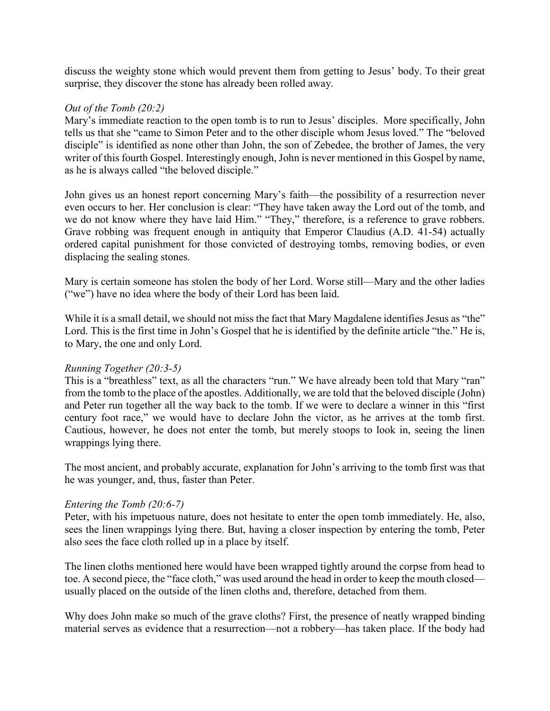discuss the weighty stone which would prevent them from getting to Jesus' body. To their great surprise, they discover the stone has already been rolled away.

### *Out of the Tomb (20:2)*

Mary's immediate reaction to the open tomb is to run to Jesus' disciples. More specifically, John tells us that she "came to Simon Peter and to the other disciple whom Jesus loved." The "beloved disciple" is identified as none other than John, the son of Zebedee, the brother of James, the very writer of this fourth Gospel. Interestingly enough, John is never mentioned in this Gospel by name, as he is always called "the beloved disciple."

John gives us an honest report concerning Mary's faith—the possibility of a resurrection never even occurs to her. Her conclusion is clear: "They have taken away the Lord out of the tomb, and we do not know where they have laid Him." "They," therefore, is a reference to grave robbers. Grave robbing was frequent enough in antiquity that Emperor Claudius (A.D. 41-54) actually ordered capital punishment for those convicted of destroying tombs, removing bodies, or even displacing the sealing stones.

Mary is certain someone has stolen the body of her Lord. Worse still—Mary and the other ladies ("we") have no idea where the body of their Lord has been laid.

While it is a small detail, we should not miss the fact that Mary Magdalene identifies Jesus as "the" Lord. This is the first time in John's Gospel that he is identified by the definite article "the." He is, to Mary, the one and only Lord.

# *Running Together (20:3-5)*

This is a "breathless" text, as all the characters "run." We have already been told that Mary "ran" from the tomb to the place of the apostles. Additionally, we are told that the beloved disciple (John) and Peter run together all the way back to the tomb. If we were to declare a winner in this "first century foot race," we would have to declare John the victor, as he arrives at the tomb first. Cautious, however, he does not enter the tomb, but merely stoops to look in, seeing the linen wrappings lying there.

The most ancient, and probably accurate, explanation for John's arriving to the tomb first was that he was younger, and, thus, faster than Peter.

#### *Entering the Tomb (20:6-7)*

Peter, with his impetuous nature, does not hesitate to enter the open tomb immediately. He, also, sees the linen wrappings lying there. But, having a closer inspection by entering the tomb, Peter also sees the face cloth rolled up in a place by itself.

The linen cloths mentioned here would have been wrapped tightly around the corpse from head to toe. A second piece, the "face cloth," was used around the head in order to keep the mouth closed usually placed on the outside of the linen cloths and, therefore, detached from them.

Why does John make so much of the grave cloths? First, the presence of neatly wrapped binding material serves as evidence that a resurrection—not a robbery—has taken place. If the body had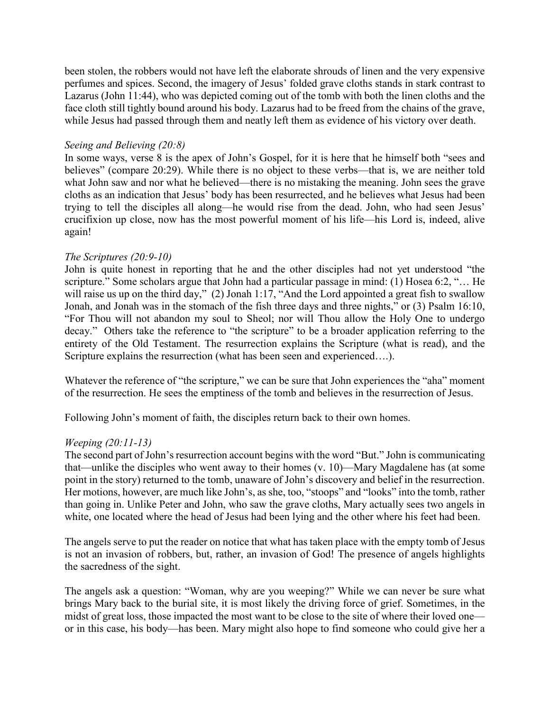been stolen, the robbers would not have left the elaborate shrouds of linen and the very expensive perfumes and spices. Second, the imagery of Jesus' folded grave cloths stands in stark contrast to Lazarus (John 11:44), who was depicted coming out of the tomb with both the linen cloths and the face cloth still tightly bound around his body. Lazarus had to be freed from the chains of the grave, while Jesus had passed through them and neatly left them as evidence of his victory over death.

## *Seeing and Believing (20:8)*

In some ways, verse 8 is the apex of John's Gospel, for it is here that he himself both "sees and believes" (compare 20:29). While there is no object to these verbs—that is, we are neither told what John saw and nor what he believed—there is no mistaking the meaning. John sees the grave cloths as an indication that Jesus' body has been resurrected, and he believes what Jesus had been trying to tell the disciples all along—he would rise from the dead. John, who had seen Jesus' crucifixion up close, now has the most powerful moment of his life—his Lord is, indeed, alive again!

#### *The Scriptures (20:9-10)*

John is quite honest in reporting that he and the other disciples had not yet understood "the scripture." Some scholars argue that John had a particular passage in mind: (1) Hosea 6:2, "... He will raise us up on the third day," (2) Jonah 1:17, "And the Lord appointed a great fish to swallow Jonah, and Jonah was in the stomach of the fish three days and three nights," or (3) Psalm 16:10, "For Thou will not abandon my soul to Sheol; nor will Thou allow the Holy One to undergo decay." Others take the reference to "the scripture" to be a broader application referring to the entirety of the Old Testament. The resurrection explains the Scripture (what is read), and the Scripture explains the resurrection (what has been seen and experienced....).

Whatever the reference of "the scripture," we can be sure that John experiences the "aha" moment of the resurrection. He sees the emptiness of the tomb and believes in the resurrection of Jesus.

Following John's moment of faith, the disciples return back to their own homes.

#### *Weeping (20:11-13)*

The second part of John's resurrection account begins with the word "But." John is communicating that—unlike the disciples who went away to their homes (v. 10)—Mary Magdalene has (at some point in the story) returned to the tomb, unaware of John's discovery and belief in the resurrection. Her motions, however, are much like John's, as she, too, "stoops" and "looks" into the tomb, rather than going in. Unlike Peter and John, who saw the grave cloths, Mary actually sees two angels in white, one located where the head of Jesus had been lying and the other where his feet had been.

The angels serve to put the reader on notice that what has taken place with the empty tomb of Jesus is not an invasion of robbers, but, rather, an invasion of God! The presence of angels highlights the sacredness of the sight.

The angels ask a question: "Woman, why are you weeping?" While we can never be sure what brings Mary back to the burial site, it is most likely the driving force of grief. Sometimes, in the midst of great loss, those impacted the most want to be close to the site of where their loved one or in this case, his body—has been. Mary might also hope to find someone who could give her a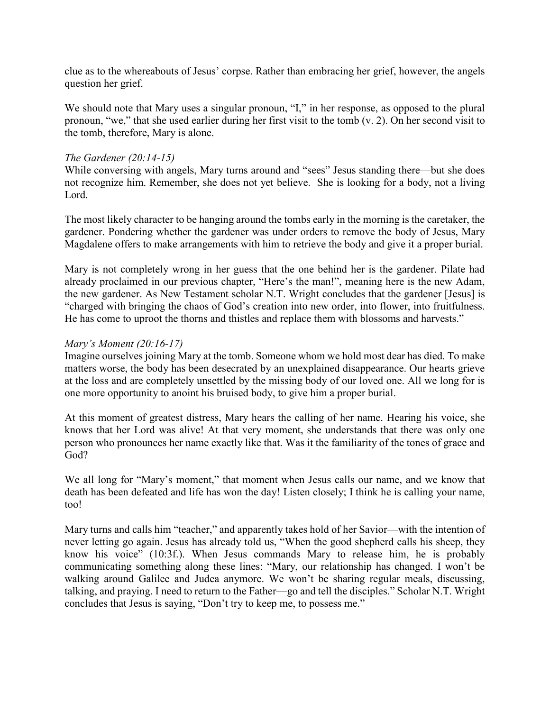clue as to the whereabouts of Jesus' corpse. Rather than embracing her grief, however, the angels question her grief.

We should note that Mary uses a singular pronoun, "I," in her response, as opposed to the plural pronoun, "we," that she used earlier during her first visit to the tomb (v. 2). On her second visit to the tomb, therefore, Mary is alone.

### *The Gardener (20:14-15)*

While conversing with angels, Mary turns around and "sees" Jesus standing there—but she does not recognize him. Remember, she does not yet believe. She is looking for a body, not a living Lord.

The most likely character to be hanging around the tombs early in the morning is the caretaker, the gardener. Pondering whether the gardener was under orders to remove the body of Jesus, Mary Magdalene offers to make arrangements with him to retrieve the body and give it a proper burial.

Mary is not completely wrong in her guess that the one behind her is the gardener. Pilate had already proclaimed in our previous chapter, "Here's the man!", meaning here is the new Adam, the new gardener. As New Testament scholar N.T. Wright concludes that the gardener [Jesus] is "charged with bringing the chaos of God's creation into new order, into flower, into fruitfulness. He has come to uproot the thorns and thistles and replace them with blossoms and harvests."

## *Mary's Moment (20:16-17)*

Imagine ourselves joining Mary at the tomb. Someone whom we hold most dear has died. To make matters worse, the body has been desecrated by an unexplained disappearance. Our hearts grieve at the loss and are completely unsettled by the missing body of our loved one. All we long for is one more opportunity to anoint his bruised body, to give him a proper burial.

At this moment of greatest distress, Mary hears the calling of her name. Hearing his voice, she knows that her Lord was alive! At that very moment, she understands that there was only one person who pronounces her name exactly like that. Was it the familiarity of the tones of grace and God?

We all long for "Mary's moment," that moment when Jesus calls our name, and we know that death has been defeated and life has won the day! Listen closely; I think he is calling your name, too!

Mary turns and calls him "teacher," and apparently takes hold of her Savior—with the intention of never letting go again. Jesus has already told us, "When the good shepherd calls his sheep, they know his voice" (10:3f.). When Jesus commands Mary to release him, he is probably communicating something along these lines: "Mary, our relationship has changed. I won't be walking around Galilee and Judea anymore. We won't be sharing regular meals, discussing, talking, and praying. I need to return to the Father—go and tell the disciples." Scholar N.T. Wright concludes that Jesus is saying, "Don't try to keep me, to possess me."